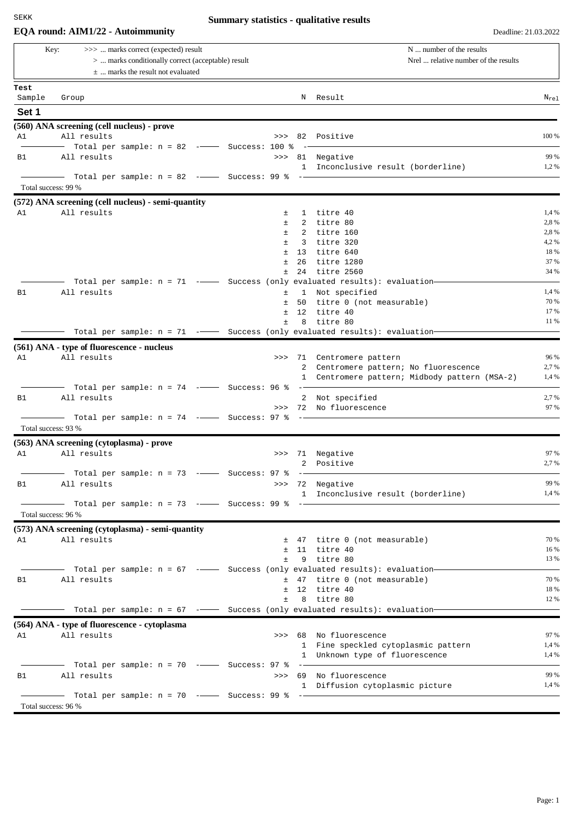## **EQA round: AIM1/22 - Autoimmunity** Deadline: 21.03.2022

# **Summary statistics - qualitative results**

| >>>  marks correct (expected) result<br>Key:<br>>  marks conditionally correct (acceptable) result |                                                                                                             |       |             | N  number of the results<br>Nrel  relative number of the results                                                                                                                                                                                                                                                                                                                                                      |              |  |
|----------------------------------------------------------------------------------------------------|-------------------------------------------------------------------------------------------------------------|-------|-------------|-----------------------------------------------------------------------------------------------------------------------------------------------------------------------------------------------------------------------------------------------------------------------------------------------------------------------------------------------------------------------------------------------------------------------|--------------|--|
|                                                                                                    | $\pm$ marks the result not evaluated                                                                        |       |             |                                                                                                                                                                                                                                                                                                                                                                                                                       |              |  |
| Test                                                                                               |                                                                                                             |       |             |                                                                                                                                                                                                                                                                                                                                                                                                                       |              |  |
| Sample                                                                                             | Group                                                                                                       |       |             | N Result                                                                                                                                                                                                                                                                                                                                                                                                              | $N_{re1}$    |  |
| Set 1                                                                                              |                                                                                                             |       |             |                                                                                                                                                                                                                                                                                                                                                                                                                       |              |  |
|                                                                                                    | (560) ANA screening (cell nucleus) - prove                                                                  |       |             |                                                                                                                                                                                                                                                                                                                                                                                                                       |              |  |
| A1                                                                                                 | All results                                                                                                 |       |             | >>> 82 Positive                                                                                                                                                                                                                                                                                                                                                                                                       | 100 %        |  |
|                                                                                                    | - Total per sample: n = 82 ----- Success: 100 %                                                             |       |             |                                                                                                                                                                                                                                                                                                                                                                                                                       |              |  |
| B1                                                                                                 | All results                                                                                                 |       |             | >>> 81 Negative                                                                                                                                                                                                                                                                                                                                                                                                       | 99 %<br>1,2% |  |
|                                                                                                    | $\blacksquare$ Total per sample: n = 82 $\lightharpoonup$ Success: 99 % $\lightharpoonup$ $\lightharpoonup$ |       |             | 1 Inconclusive result (borderline)                                                                                                                                                                                                                                                                                                                                                                                    |              |  |
|                                                                                                    | Total success: 99 %                                                                                         |       |             |                                                                                                                                                                                                                                                                                                                                                                                                                       |              |  |
|                                                                                                    |                                                                                                             |       |             |                                                                                                                                                                                                                                                                                                                                                                                                                       |              |  |
| A1                                                                                                 | (572) ANA screening (cell nucleus) - semi-quantity<br>All results                                           | $\pm$ |             | 1 titre 40                                                                                                                                                                                                                                                                                                                                                                                                            | 1,4 %        |  |
|                                                                                                    |                                                                                                             | Ŧ.    |             | 2 titre 80                                                                                                                                                                                                                                                                                                                                                                                                            | 2,8 %        |  |
|                                                                                                    |                                                                                                             | $\pm$ |             | 2 titre 160                                                                                                                                                                                                                                                                                                                                                                                                           | 2,8%         |  |
|                                                                                                    |                                                                                                             | $\pm$ | $3^{\circ}$ | titre 320                                                                                                                                                                                                                                                                                                                                                                                                             | 4,2%         |  |
|                                                                                                    |                                                                                                             | $\pm$ | 13          | titre 640                                                                                                                                                                                                                                                                                                                                                                                                             | 18 %         |  |
|                                                                                                    |                                                                                                             | $\pm$ | 26          | titre 1280                                                                                                                                                                                                                                                                                                                                                                                                            | 37 %         |  |
|                                                                                                    |                                                                                                             | $\pm$ |             | 24 titre 2560                                                                                                                                                                                                                                                                                                                                                                                                         | 34 %         |  |
|                                                                                                    | Total per sample: n = 71 -- Success (only evaluated results): evaluation-                                   |       |             |                                                                                                                                                                                                                                                                                                                                                                                                                       |              |  |
| B1                                                                                                 | All results                                                                                                 | 土     |             | 1 Not specified                                                                                                                                                                                                                                                                                                                                                                                                       | 1,4 %        |  |
|                                                                                                    |                                                                                                             | $\pm$ |             | 50 titre 0 (not measurable)                                                                                                                                                                                                                                                                                                                                                                                           | 70 %         |  |
|                                                                                                    |                                                                                                             | $\pm$ |             | 12 titre 40                                                                                                                                                                                                                                                                                                                                                                                                           | 17 %         |  |
|                                                                                                    | Total per sample: $n = 71$ - Success (only evaluated results): evaluation-                                  | Ŧ.    |             | 8 titre 80                                                                                                                                                                                                                                                                                                                                                                                                            | 11 %         |  |
|                                                                                                    |                                                                                                             |       |             |                                                                                                                                                                                                                                                                                                                                                                                                                       |              |  |
|                                                                                                    | (561) ANA - type of fluorescence - nucleus                                                                  |       |             |                                                                                                                                                                                                                                                                                                                                                                                                                       |              |  |
| A1                                                                                                 | All results                                                                                                 |       |             | >>> 71 Centromere pattern                                                                                                                                                                                                                                                                                                                                                                                             | 96 %         |  |
|                                                                                                    |                                                                                                             |       |             | 2 Centromere pattern; No fluorescence                                                                                                                                                                                                                                                                                                                                                                                 | 2,7 %        |  |
|                                                                                                    |                                                                                                             |       |             | 1 Centromere pattern; Midbody pattern (MSA-2)                                                                                                                                                                                                                                                                                                                                                                         | 1,4 %        |  |
| <b>B1</b>                                                                                          | Total per sample: $n = 74$ -- Success: 96 %<br>All results                                                  |       |             |                                                                                                                                                                                                                                                                                                                                                                                                                       | 2,7%         |  |
|                                                                                                    |                                                                                                             |       |             | 2 Not specified<br>>>> 72 No fluorescence                                                                                                                                                                                                                                                                                                                                                                             | 97 %         |  |
|                                                                                                    | Total per sample: $n = 74$ -- Success: 97 % --<br>$\overline{\phantom{a}}$                                  |       |             |                                                                                                                                                                                                                                                                                                                                                                                                                       |              |  |
|                                                                                                    | Total success: 93 %                                                                                         |       |             |                                                                                                                                                                                                                                                                                                                                                                                                                       |              |  |
|                                                                                                    | (563) ANA screening (cytoplasma) - prove                                                                    |       |             |                                                                                                                                                                                                                                                                                                                                                                                                                       |              |  |
| A1                                                                                                 | All results                                                                                                 | >>    |             | 71 Negative                                                                                                                                                                                                                                                                                                                                                                                                           | 97 %         |  |
|                                                                                                    |                                                                                                             |       | 2           | Positive                                                                                                                                                                                                                                                                                                                                                                                                              | 2,7 %        |  |
|                                                                                                    | - Total per sample: n = 73 ---- Success: 97 %                                                               |       |             | $\frac{1}{1-\frac{1}{1-\frac{1}{1-\frac{1}{1-\frac{1}{1-\frac{1}{1-\frac{1}{1-\frac{1}{1-\frac{1}{1-\frac{1}{1-\frac{1}{1-\frac{1}{1-\frac{1}{1-\frac{1}{1-\frac{1}{1-\frac{1}{1-\frac{1}{1-\frac{1}{1-\frac{1}{1-\frac{1}{1-\frac{1}{1-\frac{1}{1-\frac{1}{1-\frac{1}{1-\frac{1}{1-\frac{1}{1-\frac{1}{1-\frac{1}{1-\frac{1}{1-\frac{1}{1-\frac{1}{1-\frac{1}{1-\frac{1}{1-\frac{1}{1-\frac{1}{1-\frac{1}{1-\frac{1$ |              |  |
| B1                                                                                                 | All results                                                                                                 |       |             | >>> 72 Negative                                                                                                                                                                                                                                                                                                                                                                                                       | 99 %         |  |
|                                                                                                    |                                                                                                             |       |             | 1 Inconclusive result (borderline)                                                                                                                                                                                                                                                                                                                                                                                    | 1,4 %        |  |
|                                                                                                    |                                                                                                             |       |             |                                                                                                                                                                                                                                                                                                                                                                                                                       |              |  |
|                                                                                                    | Total success: 96 %                                                                                         |       |             |                                                                                                                                                                                                                                                                                                                                                                                                                       |              |  |
|                                                                                                    | (573) ANA screening (cytoplasma) - semi-quantity                                                            |       |             |                                                                                                                                                                                                                                                                                                                                                                                                                       |              |  |
| A1                                                                                                 | All results                                                                                                 |       |             | ± 47 titre 0 (not measurable)                                                                                                                                                                                                                                                                                                                                                                                         | 70 %         |  |
|                                                                                                    |                                                                                                             |       |             | $±$ 11 titre 40                                                                                                                                                                                                                                                                                                                                                                                                       | 16 %         |  |
|                                                                                                    |                                                                                                             | $\pm$ |             | 9 titre 80                                                                                                                                                                                                                                                                                                                                                                                                            | 13 %         |  |
|                                                                                                    | - Total per sample: n = 67 -- Success (only evaluated results): evaluation                                  |       |             |                                                                                                                                                                                                                                                                                                                                                                                                                       |              |  |
| B1                                                                                                 | All results                                                                                                 |       |             | ± 47 titre 0 (not measurable)                                                                                                                                                                                                                                                                                                                                                                                         | 70 %         |  |
|                                                                                                    |                                                                                                             |       |             | $±$ 12 titre 40                                                                                                                                                                                                                                                                                                                                                                                                       | 18 %         |  |
|                                                                                                    |                                                                                                             |       |             | $±$ 8 titre 80                                                                                                                                                                                                                                                                                                                                                                                                        | 12 %         |  |
|                                                                                                    | Total per sample: n = 67 -- Success (only evaluated results): evaluation-                                   |       |             |                                                                                                                                                                                                                                                                                                                                                                                                                       |              |  |
|                                                                                                    | (564) ANA - type of fluorescence - cytoplasma                                                               |       |             |                                                                                                                                                                                                                                                                                                                                                                                                                       |              |  |
| A1                                                                                                 | All results                                                                                                 |       |             | >>> 68 No fluorescence                                                                                                                                                                                                                                                                                                                                                                                                | 97 %         |  |
|                                                                                                    |                                                                                                             |       |             | 1 Fine speckled cytoplasmic pattern                                                                                                                                                                                                                                                                                                                                                                                   | 1,4 %        |  |
|                                                                                                    |                                                                                                             |       |             | 1 Unknown type of fluorescence                                                                                                                                                                                                                                                                                                                                                                                        | 1,4 %        |  |
|                                                                                                    |                                                                                                             |       |             |                                                                                                                                                                                                                                                                                                                                                                                                                       |              |  |
|                                                                                                    | - Total per sample: $n = 70$ --- Success: 97 % --                                                           |       |             |                                                                                                                                                                                                                                                                                                                                                                                                                       |              |  |
| B1                                                                                                 | All results                                                                                                 |       |             | >>> 69 No fluorescence                                                                                                                                                                                                                                                                                                                                                                                                | 99 %         |  |
|                                                                                                    |                                                                                                             |       |             | 1 Diffusion cytoplasmic picture                                                                                                                                                                                                                                                                                                                                                                                       | 1,4 %        |  |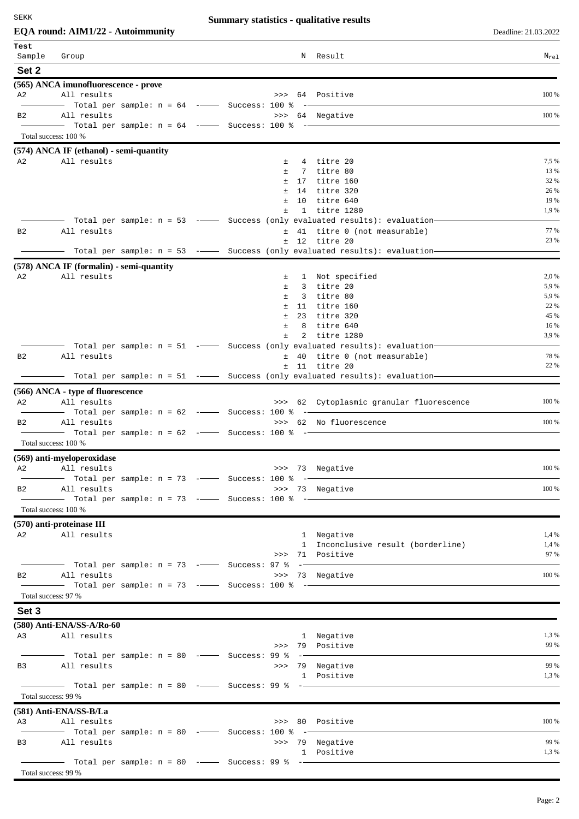# **Summary statistics - qualitative results**

|                 | <b>EQA</b> round: AIM1/22 - Autoimmunity                                                      |                     |                                                                                                                       | Deadline: 21.03.2022 |
|-----------------|-----------------------------------------------------------------------------------------------|---------------------|-----------------------------------------------------------------------------------------------------------------------|----------------------|
| Test            |                                                                                               |                     |                                                                                                                       |                      |
| Sample<br>Set 2 | Group                                                                                         |                     | N Result                                                                                                              | $N_{re1}$            |
|                 | (565) ANCA imunofluorescence - prove                                                          |                     |                                                                                                                       |                      |
| A2              | All results                                                                                   |                     | >>> 64 Positive                                                                                                       | 100 %                |
|                 | $-$ Total per sample: $n = 64$ - $-$ Success: 100 %                                           |                     |                                                                                                                       |                      |
| B2              | All results                                                                                   |                     | >>> 64 Negative                                                                                                       | 100 %                |
|                 | Total success: 100 %                                                                          |                     |                                                                                                                       |                      |
|                 | $(574)$ ANCA IF (ethanol) - semi-quantity                                                     |                     |                                                                                                                       |                      |
| A2              | All results                                                                                   | 土                   | 4 titre 20                                                                                                            | 7,5 %                |
|                 |                                                                                               | $\pm$               | 7 titre 80                                                                                                            | 13 %                 |
|                 |                                                                                               | $\pm$<br>$\pm$      | 17 titre 160<br>14 titre 320                                                                                          | 32 %<br>26 %         |
|                 |                                                                                               | $\pm$               | 10 titre 640                                                                                                          | 19 %                 |
|                 |                                                                                               | $\pm$               | 1 titre 1280                                                                                                          | 1,9 %                |
| B2              | - Total per sample: n = 53 ----- Success (only evaluated results): evaluation-<br>All results |                     | ± 41 titre 0 (not measurable)                                                                                         | 77 %                 |
|                 |                                                                                               |                     | $±$ 12 titre 20                                                                                                       | 23 %                 |
|                 |                                                                                               |                     | Total per sample: $n = 53$ --- Success (only evaluated results): evaluation-                                          |                      |
|                 | $(578)$ ANCA IF (formalin) - semi-quantity                                                    |                     |                                                                                                                       |                      |
| A2              | All results                                                                                   | 土<br>$\pm$          | 1 Not specified                                                                                                       | 2,0 %<br>5,9 %       |
|                 |                                                                                               | $\pm$               | 3 titre 20<br>3 titre 80                                                                                              | 5,9 %                |
|                 |                                                                                               | $\pm$               | 11 titre 160                                                                                                          | 22 %                 |
|                 |                                                                                               | $\pm$<br>23         | titre 320                                                                                                             | 45 %                 |
|                 |                                                                                               | $\pm$<br>8<br>$\pm$ | titre 640<br>2 titre 1280                                                                                             | 16 %<br>3,9 %        |
|                 | —  Total per sample: n = 51  -——  Success (only evaluated results): evaluation—               |                     |                                                                                                                       |                      |
| B2              | All results                                                                                   |                     | ± 40 titre 0 (not measurable)                                                                                         | 78 %                 |
|                 |                                                                                               |                     | $±$ 11 titre 20<br>Total per sample: $n = 51$ - Success (only evaluated results): evaluation-                         | 22 %                 |
|                 | (566) ANCA - type of fluorescence                                                             |                     |                                                                                                                       |                      |
| A2              | All results                                                                                   |                     | >>> 62 Cytoplasmic granular fluorescence                                                                              | 100 %                |
|                 | $-$ Total per sample: n = 62 - $-$ Success: 100 %                                             |                     | <u> 1989 - Andrea Albert III, populație de la provincia de la provincia de la provincia de la provincia de la pro</u> |                      |
| B <sub>2</sub>  | All results<br>Total per sample: n = 62 -- Success: 100 % -                                   |                     | >>> 62 No fluorescence                                                                                                | 100 %                |
|                 | Total success: 100 %                                                                          |                     |                                                                                                                       |                      |
|                 | (569) anti-myeloperoxidase                                                                    |                     |                                                                                                                       |                      |
| A2              | All results                                                                                   |                     | >>> 73 Negative                                                                                                       | 100 %                |
|                 |                                                                                               |                     |                                                                                                                       |                      |
| B <sub>2</sub>  | All results<br>Total per sample: n = 73 -- Success: 100 % --                                  |                     | >>> 73 Negative                                                                                                       | 100 %                |
|                 | Total success: 100 %                                                                          |                     |                                                                                                                       |                      |
|                 | $(570)$ anti-proteinase III                                                                   |                     |                                                                                                                       |                      |
|                 | A2 All results                                                                                |                     | 1 Negative                                                                                                            | 1,4 %                |
|                 |                                                                                               |                     | 1 Inconclusive result (borderline)                                                                                    | 1,4 %<br>97 %        |
|                 |                                                                                               |                     | >>> 71 Positive                                                                                                       |                      |
| B <sub>2</sub>  | All results                                                                                   |                     | >>> 73 Negative                                                                                                       | 100 %                |
|                 |                                                                                               |                     |                                                                                                                       |                      |
|                 | Total success: 97 %                                                                           |                     |                                                                                                                       |                      |
| Set 3           |                                                                                               |                     |                                                                                                                       |                      |
|                 | (580) Anti-ENA/SS-A/Ro-60<br>A3 All results                                                   |                     |                                                                                                                       | 1,3 %                |
|                 |                                                                                               |                     | 1 Negative<br>>>> 79 Positive                                                                                         | 99 %                 |
|                 | Total per sample: $n = 80$ --- Success: 99 % --                                               |                     |                                                                                                                       |                      |
| B <sub>3</sub>  | All results                                                                                   |                     | >>> 79 Negative                                                                                                       | 99 %                 |
|                 |                                                                                               |                     | 1 Positive                                                                                                            | 1,3 %                |
|                 | Total success: 99 %                                                                           |                     |                                                                                                                       |                      |
|                 | (581) Anti-ENA/SS-B/La                                                                        |                     |                                                                                                                       |                      |
| A3              | All results                                                                                   |                     | >>> 80 Positive                                                                                                       | 100 %                |
|                 | - Total per sample: $n = 80$ --- Success: 100 % --                                            |                     |                                                                                                                       | 99 %                 |
|                 | B3 All results                                                                                |                     | >>> 79 Negative<br>1 Positive                                                                                         | 1,3 %                |
|                 | Total per sample: n = 80 -- Success: 99 % --                                                  |                     |                                                                                                                       |                      |
|                 | Total success: 99 %                                                                           |                     |                                                                                                                       |                      |